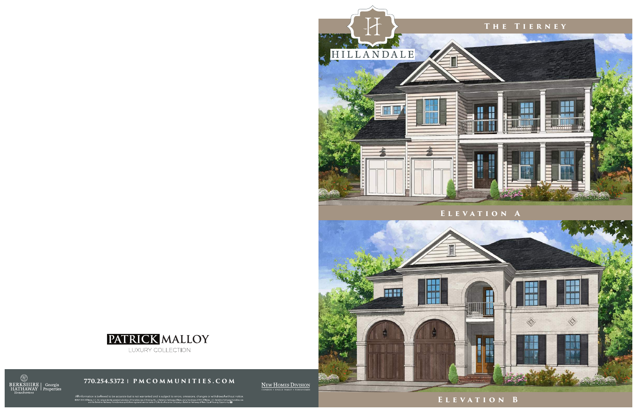**770.254.5372 | PMCOMMUNITIES.COM**

NEW HOMES DIVISION

All information is believed to be accurate but is not warranted and is subject to errors, omissions, changes or withdrawal without notice.<br>@2021 BHH Affilies, LLC An independently operated aubulabry of HomeServices of Amer